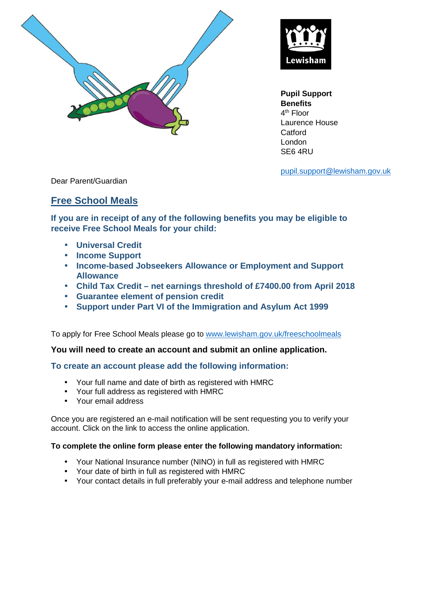



**Pupil Support Benefits**  4<sup>th</sup> Floor Laurence House **Catford** London SE6 4RU

pupil.support@lewisham.gov.uk

Dear Parent/Guardian

## **Free School Meals**

**If you are in receipt of any of the following benefits you may be eligible to receive Free School Meals for your child:** 

- **Universal Credit**
- **Income Support**
- **Income-based Jobseekers Allowance or Employment and Support Allowance**
- **Child Tax Credit net earnings threshold of £7400.00 from April 2018**
- **Guarantee element of pension credit**
- **Support under Part VI of the Immigration and Asylum Act 1999**

To apply for Free School Meals please go to www.lewisham.gov.uk/freeschoolmeals

## **You will need to create an account and submit an online application.**

## **To create an account please add the following information:**

- Your full name and date of birth as registered with HMRC
- Your full address as registered with HMRC
- Your email address

Once you are registered an e-mail notification will be sent requesting you to verify your account. Click on the link to access the online application.

## **To complete the online form please enter the following mandatory information:**

- Your National Insurance number (NINO) in full as registered with HMRC
- Your date of birth in full as registered with HMRC
- Your contact details in full preferably your e-mail address and telephone number